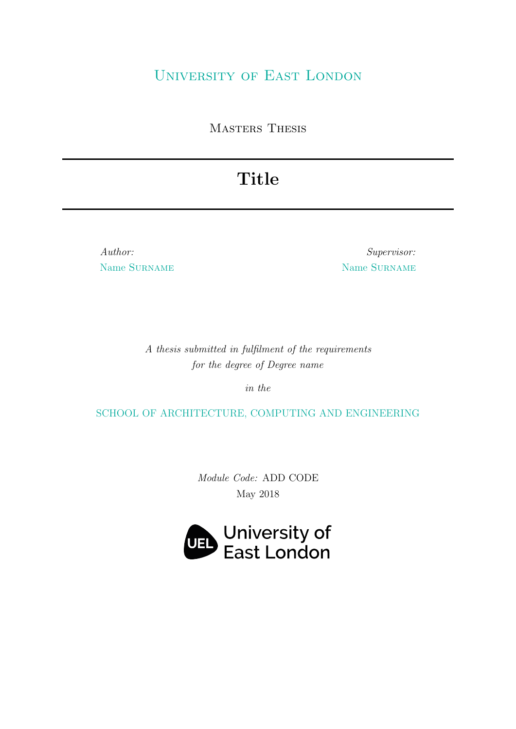### UNIVERSITY OF EAST LONDON

Masters Thesis

## **Title**

Author: Name [Surname](https://www.uel.ac.uk)

Supervisor: Name [Surname](https://www.uel.ac.uk)

A thesis submitted in fulfilment of the requirements for the degree of Degree name

in the

[SCHOOL OF ARCHITECTURE, COMPUTING AND ENGINEERING](https://www.uel.ac.uk/schools/ace)

Module Code: ADD CODE May 2018

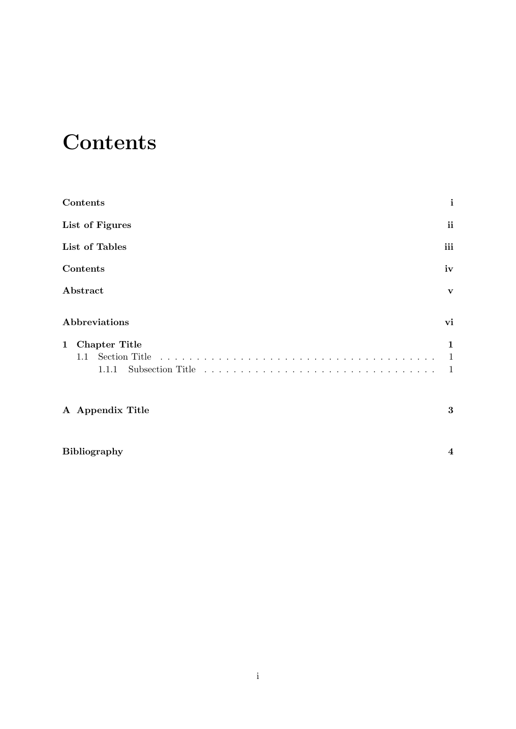## <span id="page-1-0"></span>**Contents**

| Contents                  | $\mathbf{i}$             |
|---------------------------|--------------------------|
| List of Figures           | ii                       |
| List of Tables            | iii                      |
| Contents                  | iv                       |
| Abstract                  | $\mathbf{v}$             |
| Abbreviations             | vi                       |
| <b>Chapter Title</b><br>1 | 1<br>1<br>$\overline{1}$ |
| A Appendix Title          | 3                        |

#### [Bibliography](#page-10-0) 4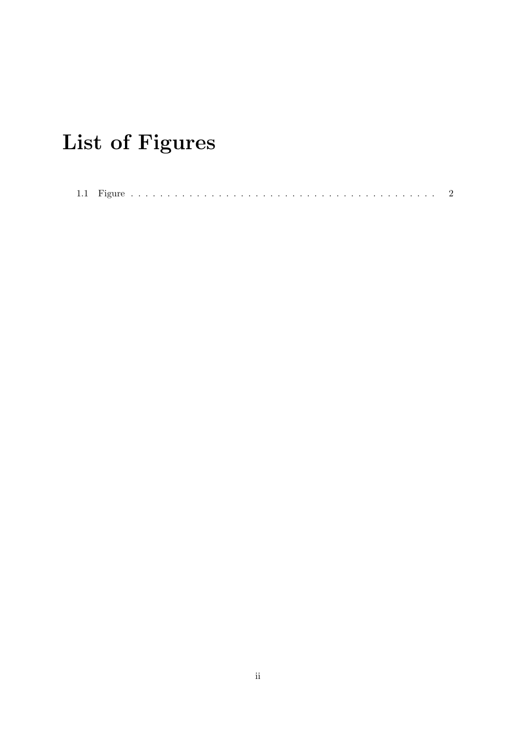# <span id="page-2-0"></span>List of Figures

|--|--|--|--|--|--|--|--|--|--|--|--|--|--|--|--|--|--|--|--|--|--|--|--|--|--|--|--|--|--|--|--|--|--|--|--|--|--|--|--|--|--|--|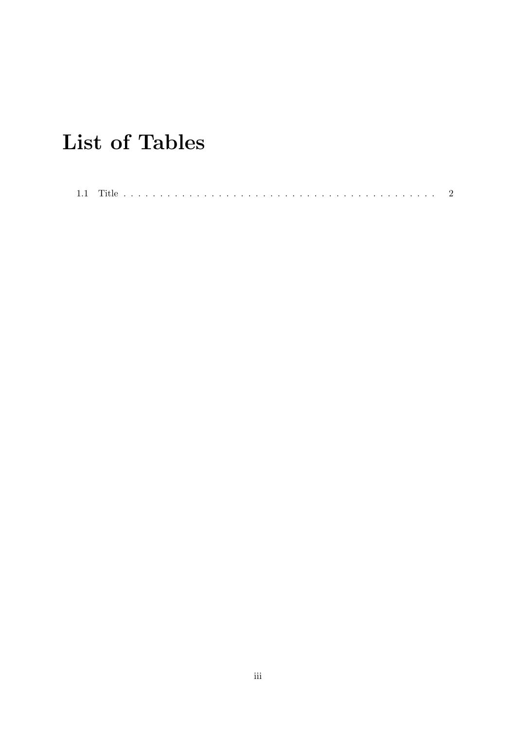# <span id="page-3-0"></span>List of Tables

|  |  |  |  |  |  |  |  |  |  |  |  |  |  |  |  |  |  |  |  |  |  |  |  |  |  |  |  |  |  |  |  |  |  |  |  | ∼ |  |
|--|--|--|--|--|--|--|--|--|--|--|--|--|--|--|--|--|--|--|--|--|--|--|--|--|--|--|--|--|--|--|--|--|--|--|--|---|--|
|--|--|--|--|--|--|--|--|--|--|--|--|--|--|--|--|--|--|--|--|--|--|--|--|--|--|--|--|--|--|--|--|--|--|--|--|---|--|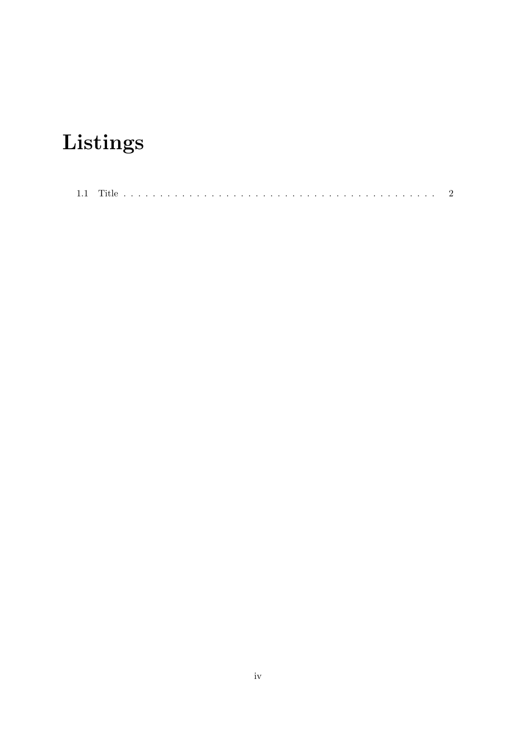# <span id="page-4-0"></span>Listings

|--|--|--|--|--|--|--|--|--|--|--|--|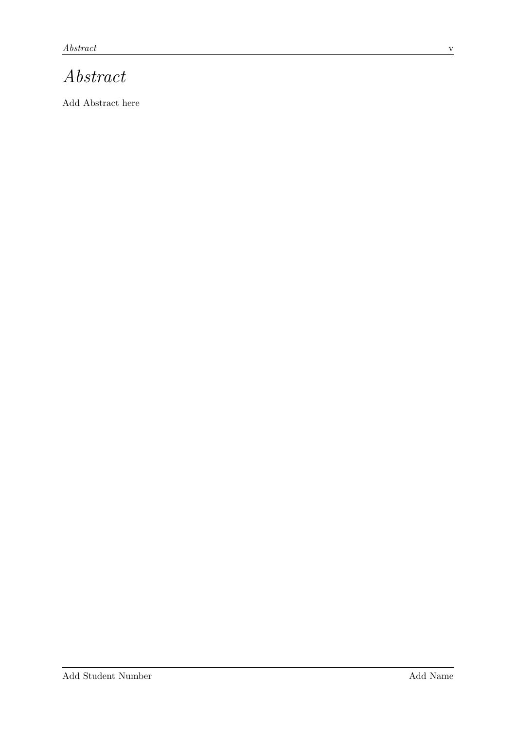## <span id="page-5-0"></span>Abstract

Add Abstract here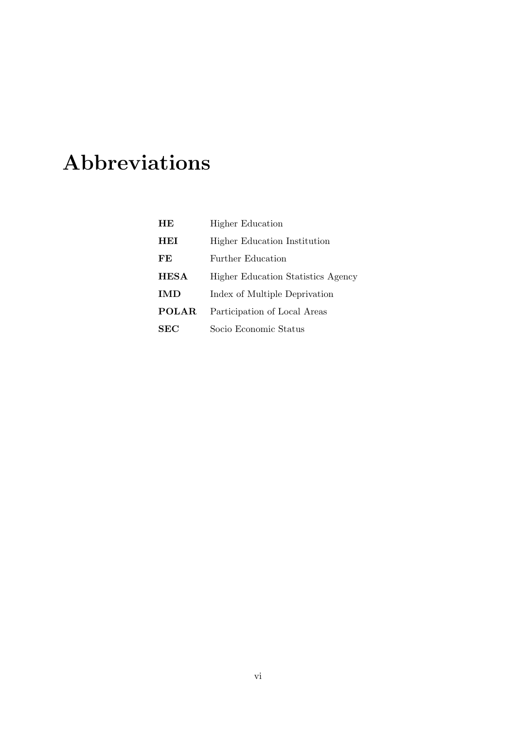## <span id="page-6-0"></span>Abbreviations

| HЕ           | <b>Higher Education</b>            |
|--------------|------------------------------------|
| HEI          | Higher Education Institution       |
| FE           | Further Education                  |
| <b>HESA</b>  | Higher Education Statistics Agency |
| IMD          | Index of Multiple Deprivation      |
| <b>POLAR</b> | Participation of Local Areas       |
| SEC          | Socio Economic Status              |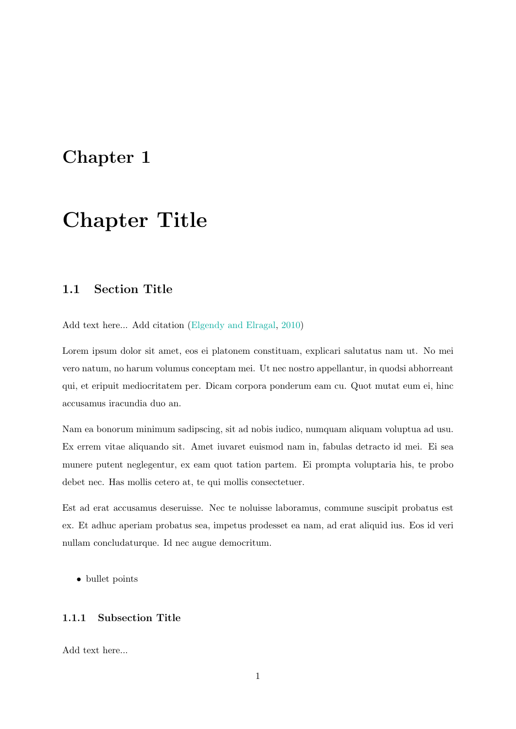### <span id="page-7-0"></span>Chapter 1

## Chapter Title

#### <span id="page-7-1"></span>1.1 Section Title

Add text here... Add citation [\(Elgendy and Elragal,](#page-10-1) [2010\)](#page-10-1)

Lorem ipsum dolor sit amet, eos ei platonem constituam, explicari salutatus nam ut. No mei vero natum, no harum volumus conceptam mei. Ut nec nostro appellantur, in quodsi abhorreant qui, et eripuit mediocritatem per. Dicam corpora ponderum eam cu. Quot mutat eum ei, hinc accusamus iracundia duo an.

Nam ea bonorum minimum sadipscing, sit ad nobis iudico, numquam aliquam voluptua ad usu. Ex errem vitae aliquando sit. Amet iuvaret euismod nam in, fabulas detracto id mei. Ei sea munere putent neglegentur, ex eam quot tation partem. Ei prompta voluptaria his, te probo debet nec. Has mollis cetero at, te qui mollis consectetuer.

Est ad erat accusamus deseruisse. Nec te noluisse laboramus, commune suscipit probatus est ex. Et adhuc aperiam probatus sea, impetus prodesset ea nam, ad erat aliquid ius. Eos id veri nullam concludaturque. Id nec augue democritum.

• bullet points

#### <span id="page-7-2"></span>1.1.1 Subsection Title

Add text here...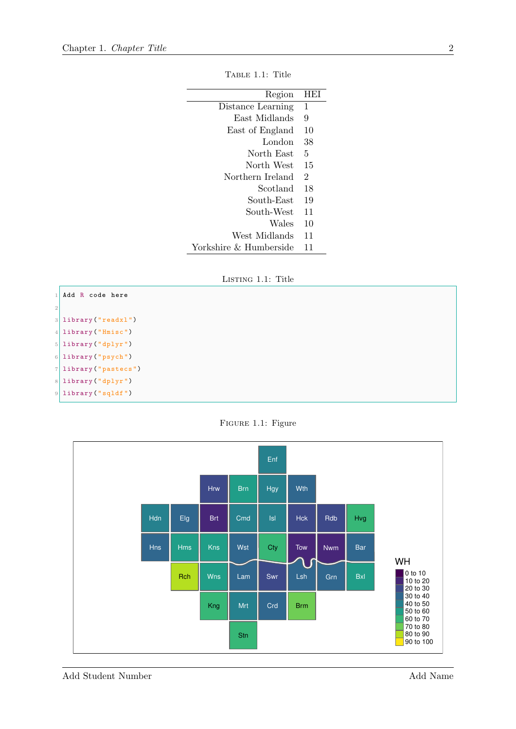<span id="page-8-1"></span>

| Region                 | HEI            |
|------------------------|----------------|
| Distance Learning      | 1              |
| East Midlands          | 9              |
| East of England        | 10             |
| London                 | 38             |
| North East             | 5              |
| North West             | 15             |
| Northern Ireland       | $\mathfrak{D}$ |
| Scotland               | 18             |
| South-East             | 19             |
| South-West             | 11             |
| Wales                  | 10             |
| West Midlands          | 11             |
| Yorkshire & Humberside | 11             |

Table 1.1: Title

LISTING 1.1: Title

<span id="page-8-2"></span> Add R code here 2 library ("readxl") 4 library ("Hmisc") library ("dplyr") library ("psych") library (" pastecs ") library ("dplyr") library ("sqldf")

Figure 1.1: Figure

<span id="page-8-0"></span>

Add Student Number Add Name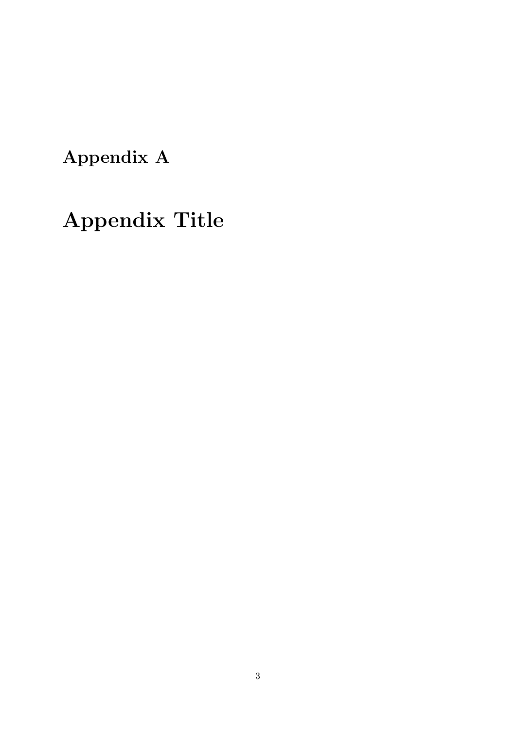<span id="page-9-0"></span>Appendix A

Appendix Title